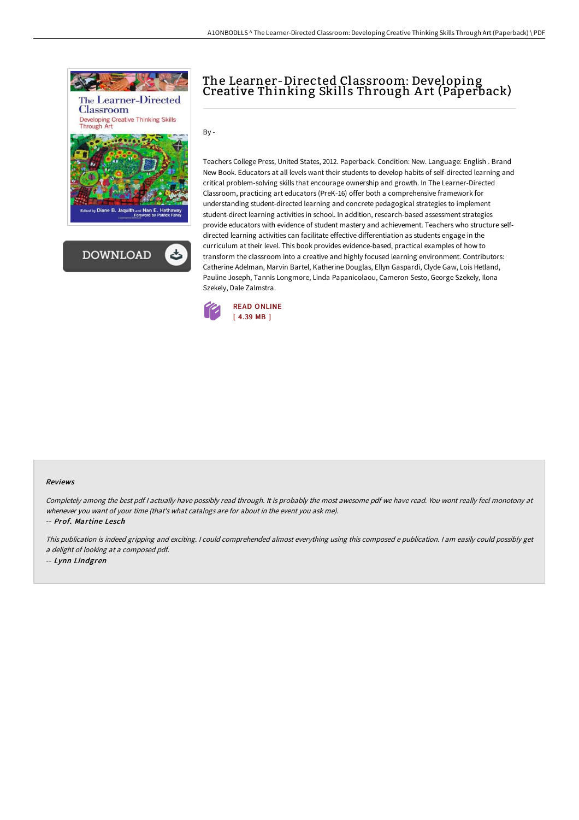



# The Learner-Directed Classroom: Developing Creative Thinking Skills Through A rt (Paperback)

By -

Teachers College Press, United States, 2012. Paperback. Condition: New. Language: English . Brand New Book. Educators at all levels want their students to develop habits of self-directed learning and critical problem-solving skills that encourage ownership and growth. In The Learner-Directed Classroom, practicing art educators (PreK-16) offer both a comprehensive framework for understanding student-directed learning and concrete pedagogical strategies to implement student-direct learning activities in school. In addition, research-based assessment strategies provide educators with evidence of student mastery and achievement. Teachers who structure selfdirected learning activities can facilitate effective differentiation as students engage in the curriculum at their level. This book provides evidence-based, practical examples of how to transform the classroom into a creative and highly focused learning environment. Contributors: Catherine Adelman, Marvin Bartel, Katherine Douglas, Ellyn Gaspardi, Clyde Gaw, Lois Hetland, Pauline Joseph, Tannis Longmore, Linda Papanicolaou, Cameron Sesto, George Szekely, Ilona Szekely, Dale Zalmstra.



#### Reviews

Completely among the best pdf I actually have possibly read through. It is probably the most awesome pdf we have read. You wont really feel monotony at whenever you want of your time (that's what catalogs are for about in the event you ask me).

-- Prof. Martine Lesch

This publication is indeed gripping and exciting. I could comprehended almost everything using this composed <sup>e</sup> publication. I am easily could possibly get <sup>a</sup> delight of looking at <sup>a</sup> composed pdf.

-- Lynn Lindgren